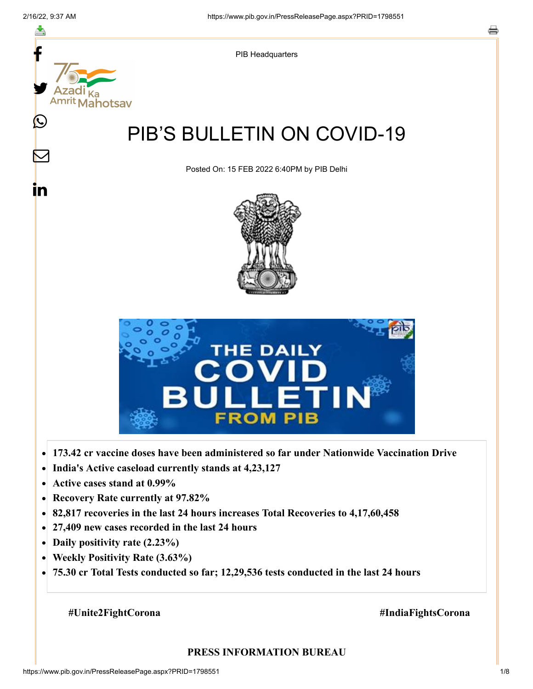

- **Active cases stand at 0.99%**  $\bullet$
- **Recovery Rate currently at 97.82%**  $\bullet$
- **82,817 recoveries in the last 24 hours increases Total Recoveries to 4,17,60,458**  $\bullet$
- **27,409 new cases recorded in the last 24 hours**  $\bullet$
- **Daily positivity rate (2.23%)**
- **Weekly Positivity Rate (3.63%)**  $\bullet$
- **75.30 cr Total Tests conducted so far; 12,29,536 tests conducted in the last 24 hours**  $\bullet$

### **#Unite2FightCorona #IndiaFightsCorona**

#### **PRESS INFORMATION BUREAU**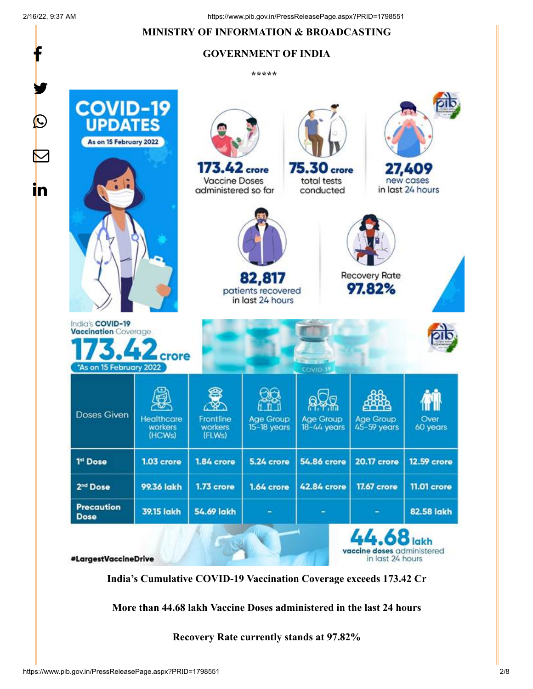f

### **MINISTRY OF INFORMATION & BROADCASTING**

### **GOVERNMENT OF INDIA**

**\*\*\*\*\*** 

![](_page_1_Picture_5.jpeg)

**India's Cumulative COVID-19 Vaccination Coverage exceeds 173.42 Cr**

**More than 44.68 lakh Vaccine Doses administered in the last 24 hours**

**Recovery Rate currently stands at 97.82%**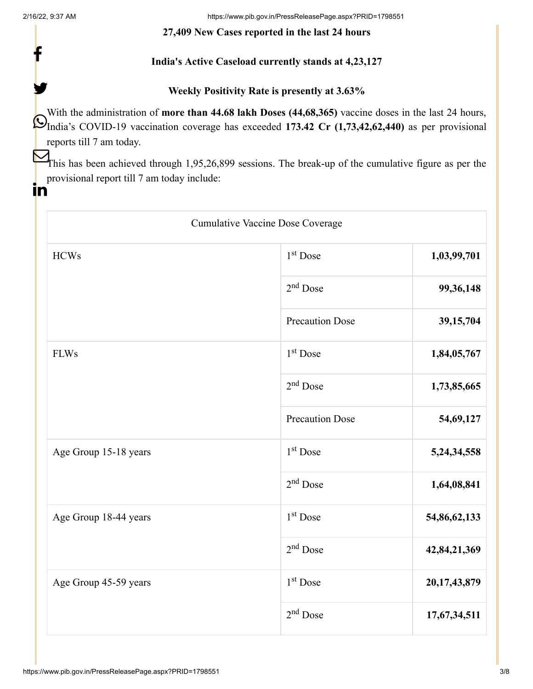f

y.

ın

2/16/22, 9:37 AM https://www.pib.gov.in/PressReleasePage.aspx?PRID=1798551

### **27,409 New Cases reported in the last 24 hours**

### **India's Active Caseload currently stands at 4,23,127**

### **Weekly Positivity Rate is presently at 3.63%**

With the administration of **more than 44.68 lakh Doses (44,68,365)** vaccine doses in the last 24 hours, India's COVID-19 vaccination coverage has exceeded 173.42 Cr (1,73,42,62,440) as per provisional reports till 7 am today.

This has been achieved through 1,95,26,899 sessions. The break-up of the cumulative figure as per the provisional report till 7 am today include:

## Cumulative Vaccine Dose Coverage HCWs 1 Dose **1,03,99,701** 2 Dose **99,36,148** Precaution Dose **39,15,704** FLWs 1,84,05,767 2 Dose **1,73,85,665** Precaution Dose 54,69,127 Age Group 15-18 years 1<sup>st</sup> Dose 5,24,34,558 2 Dose **1,64,08,841** Age Group 18-44 years 1<sup>st</sup> Dose 54,86,62,133 2 Dose **42,84,21,369** Age Group 45-59 years 1<sup>st</sup> Dose 20,17,43,879 2 Dose **17,67,34,511** 1<sup>st</sup> Dose 2<sup>nd</sup> Dose 1<sup>st</sup> Dose  $2<sup>nd</sup>$  Dose 1<sup>st</sup> Dose 2<sup>nd</sup> Dose 1<sup>st</sup> Dose 2<sup>nd</sup> Dose 1<sup>st</sup> Dose  $2<sup>nd</sup>$  Dose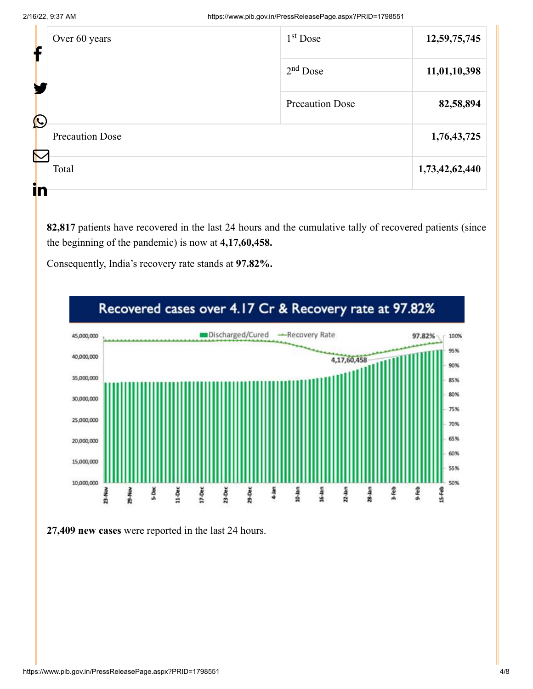2/16/22, 9:37 AM https://www.pib.gov.in/PressReleasePage.aspx?PRID=1798551

| f | Over 60 years                  | $1st$ Dose             | 12,59,75,745   |
|---|--------------------------------|------------------------|----------------|
|   |                                | $2nd$ Dose             | 11,01,10,398   |
|   | $\bigcirc$                     | <b>Precaution Dose</b> | 82,58,894      |
|   | <b>Precaution Dose</b>         |                        | 1,76,43,725    |
|   | $\boldsymbol{\nabla}$<br>Total |                        | 1,73,42,62,440 |
|   | in                             |                        |                |

**82,817** patients have recovered in the last 24 hours and the cumulative tally of recovered patients (since the beginning of the pandemic) is now at **4,17,60,458.**

Consequently, India's recovery rate stands at **97.82%.**

![](_page_3_Figure_5.jpeg)

**27,409 new cases** were reported in the last 24 hours.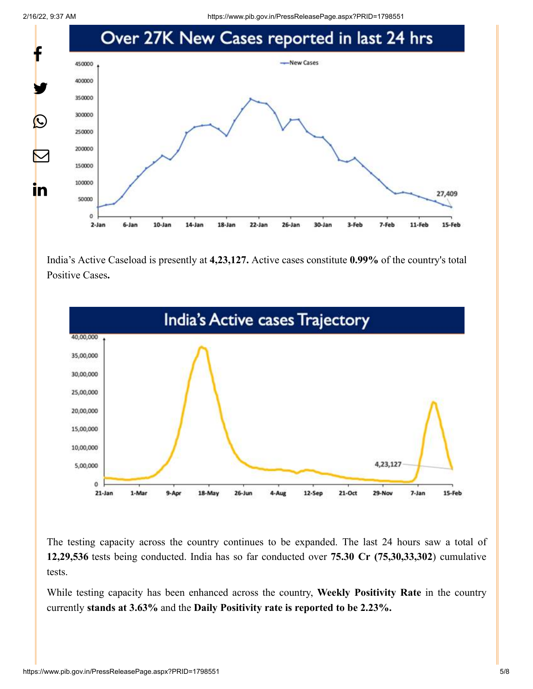2/16/22, 9:37 AM https://www.pib.gov.in/PressReleasePage.aspx?PRID=1798551

![](_page_4_Figure_2.jpeg)

India's Active Caseload is presently at **4,23,127.** Active cases constitute **0.99%** of the country's total Positive Cases**.**

![](_page_4_Figure_4.jpeg)

The testing capacity across the country continues to be expanded. The last 24 hours saw a total of **12,29,536** tests being conducted. India has so far conducted over **75.30 Cr (75,30,33,302**) cumulative tests.

While testing capacity has been enhanced across the country, **Weekly Positivity Rate** in the country currently **stands at 3.63%** and the **Daily Positivity rate is reported to be 2.23%.**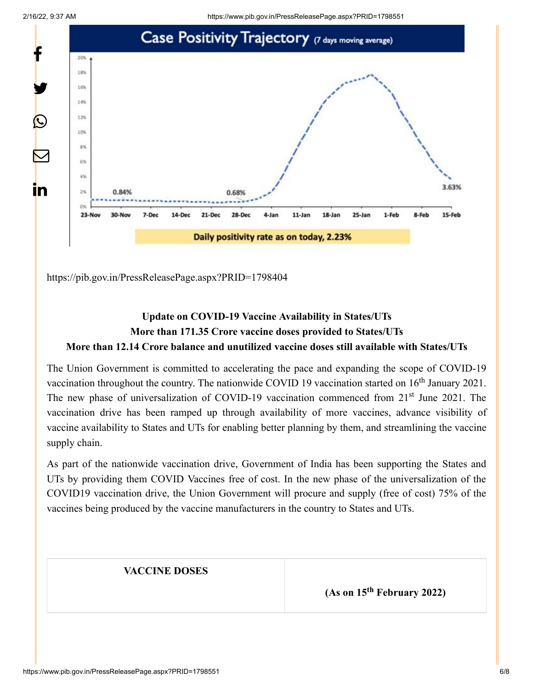![](_page_5_Figure_1.jpeg)

![](_page_5_Figure_2.jpeg)

<https://pib.gov.in/PressReleasePage.aspx?PRID=1798404>

## **Update on COVID-19 Vaccine Availability in States/UTs More than 171.35 Crore vaccine doses provided to States/UTs More than 12.14 Crore balance and unutilized vaccine doses still available with States/UTs**

The Union Government is committed to accelerating the pace and expanding the scope of COVID-19 vaccination throughout the country. The nationwide COVID 19 vaccination started on  $16<sup>th</sup>$  January 2021. The new phase of universalization of COVID-19 vaccination commenced from 21<sup>st</sup> June 2021. The vaccination drive has been ramped up through availability of more vaccines, advance visibility of vaccine availability to States and UTs for enabling better planning by them, and streamlining the vaccine supply chain.

As part of the nationwide vaccination drive, Government of India has been supporting the States and UTs by providing them COVID Vaccines free of cost. In the new phase of the universalization of the COVID19 vaccination drive, the Union Government will procure and supply (free of cost) 75% of the vaccines being produced by the vaccine manufacturers in the country to States and UTs.

### **VACCINE DOSES**

**(As on 15<sup>th</sup> February 2022)**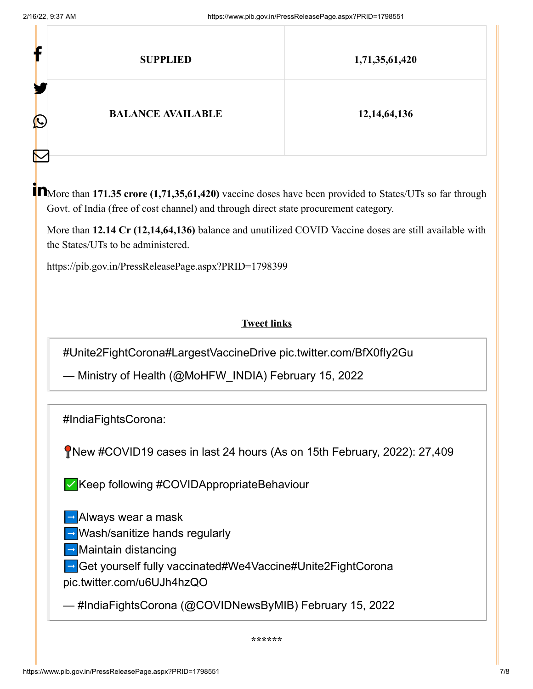| f                 | <b>SUPPLIED</b>          | 1,71,35,61,420  |
|-------------------|--------------------------|-----------------|
| $\mathbf{\Omega}$ | <b>BALANCE AVAILABLE</b> | 12, 14, 64, 136 |
| $\color{red}\sum$ |                          |                 |

More than **171.35 crore (1,71,35,61,420)** vaccine doses have been provided to States/UTs so far through Govt. of India (free of cost channel) and through direct state procurement category.

More than **12.14 Cr (12,14,64,136)** balance and unutilized COVID Vaccine doses are still available with the States/UTs to be administered.

<https://pib.gov.in/PressReleasePage.aspx?PRID=1798399>

### **Tweet links**

[#Unite2FightCorona](https://twitter.com/hashtag/Unite2FightCorona?src=hash&ref_src=twsrc%5Etfw)[#LargestVaccineDrive](https://twitter.com/hashtag/LargestVaccineDrive?src=hash&ref_src=twsrc%5Etfw) [pic.twitter.com/BfX0fIy2Gu](https://t.co/BfX0fIy2Gu)

— Ministry of Health (@MoHFW\_INDIA) [February 15, 2022](https://twitter.com/MoHFW_INDIA/status/1493448976280227840?ref_src=twsrc%5Etfw)

[#IndiaFightsCorona](https://twitter.com/hashtag/IndiaFightsCorona?src=hash&ref_src=twsrc%5Etfw):

New [#COVID19](https://twitter.com/hashtag/COVID19?src=hash&ref_src=twsrc%5Etfw) cases in last 24 hours (As on 15th February, 2022): 27,409

✅Keep following [#COVIDAppropriateBehaviour](https://twitter.com/hashtag/COVIDAppropriateBehaviour?src=hash&ref_src=twsrc%5Etfw)

➡️Always wear a mask

➡️Wash/sanitize hands regularly

➡️Maintain distancing

➡️Get yourself fully vaccinated[#We4Vaccine](https://twitter.com/hashtag/We4Vaccine?src=hash&ref_src=twsrc%5Etfw)[#Unite2FightCorona](https://twitter.com/hashtag/Unite2FightCorona?src=hash&ref_src=twsrc%5Etfw)

[pic.twitter.com/u6UJh4hzQO](https://t.co/u6UJh4hzQO)

— #IndiaFightsCorona (@COVIDNewsByMIB) [February 15, 2022](https://twitter.com/COVIDNewsByMIB/status/1493449566808854528?ref_src=twsrc%5Etfw)